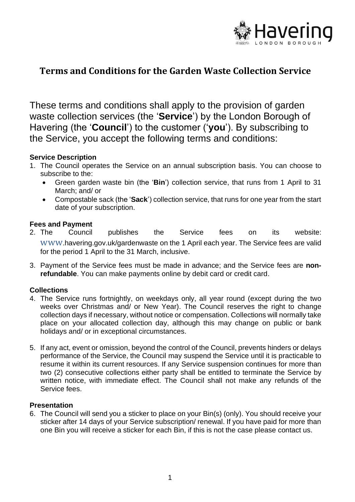

These terms and conditions shall apply to the provision of garden waste collection services (the '**Service**') by the London Borough of Havering (the '**Council**') to the customer ('**you**'). By subscribing to the Service, you accept the following terms and conditions:

## **Service Description**

- 1. The Council operates the Service on an annual subscription basis. You can choose to subscribe to the:
	- Green garden waste bin (the '**Bin**') collection service, that runs from 1 April to 31 March; and/ or
	- Compostable sack (the '**Sack**') collection service, that runs for one year from the start date of your subscription.

## **Fees and Payment**

- 2. The Council publishes the Service fees on its website: www.havering.gov.uk/gardenwaste on the 1 April each year. The Service fees are valid for the period 1 April to the 31 March, inclusive.
- 3. Payment of the Service fees must be made in advance; and the Service fees are **nonrefundable**. You can make payments online by debit card or credit card.

## **Collections**

- 4. The Service runs fortnightly, on weekdays only, all year round (except during the two weeks over Christmas and/ or New Year). The Council reserves the right to change collection days if necessary, without notice or compensation. Collections will normally take place on your allocated collection day, although this may change on public or bank holidays and/ or in exceptional circumstances.
- 5. If any act, event or omission, beyond the control of the Council, prevents hinders or delays performance of the Service, the Council may suspend the Service until it is practicable to resume it within its current resources. If any Service suspension continues for more than two (2) consecutive collections either party shall be entitled to terminate the Service by written notice, with immediate effect. The Council shall not make any refunds of the Service fees.

### **Presentation**

6. The Council will send you a sticker to place on your Bin(s) (only). You should receive your sticker after 14 days of your Service subscription/ renewal. If you have paid for more than one Bin you will receive a sticker for each Bin, if this is not the case please contact us.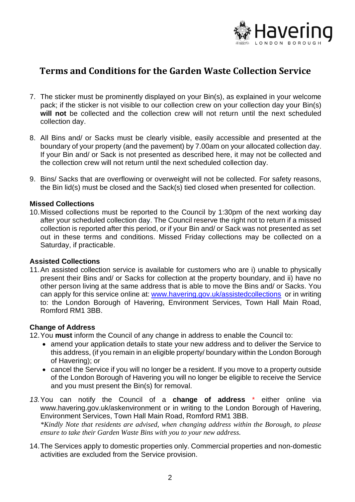

- 7. The sticker must be prominently displayed on your Bin(s), as explained in your welcome pack; if the sticker is not visible to our collection crew on your collection day your Bin(s) **will not** be collected and the collection crew will not return until the next scheduled collection day.
- 8. All Bins and/ or Sacks must be clearly visible, easily accessible and presented at the boundary of your property (and the pavement) by 7.00am on your allocated collection day. If your Bin and/ or Sack is not presented as described here, it may not be collected and the collection crew will not return until the next scheduled collection day.
- 9. Bins/ Sacks that are overflowing or overweight will not be collected. For safety reasons, the Bin lid(s) must be closed and the Sack(s) tied closed when presented for collection.

#### **Missed Collections**

10.Missed collections must be reported to the Council by 1:30pm of the next working day after your scheduled collection day. The Council reserve the right not to return if a missed collection is reported after this period, or if your Bin and/ or Sack was not presented as set out in these terms and conditions. Missed Friday collections may be collected on a Saturday, if practicable.

#### **Assisted Collections**

11.An assisted collection service is available for customers who are i) unable to physically present their Bins and/ or Sacks for collection at the property boundary, and ii) have no other person living at the same address that is able to move the Bins and/ or Sacks. You can apply for this service online at: [www.havering.gov.uk/assistedcollections](https://www.havering.gov.uk/assistedcollections) or in writing to: the London Borough of Havering, Environment Services, Town Hall Main Road, Romford RM1 3BB.

#### **Change of Address**

12.You **must** inform the Council of any change in address to enable the Council to:

- amend your application details to state your new address and to deliver the Service to this address, (if you remain in an eligible property/ boundary within the London Borough of Havering); or
- cancel the Service if you will no longer be a resident. If you move to a property outside of the London Borough of Havering you will no longer be eligible to receive the Service and you must present the Bin(s) for removal.
- *13.*You can notify the Council of a **change of address** \* either online via www.havering.gov.uk/askenvironment or in writing to the London Borough of Havering, Environment Services, Town Hall Main Road, Romford RM1 3BB. *\*Kindly Note that residents are advised, when changing address within the Borough, to please*

*ensure to take their Garden Waste Bins with you to your new address.* 14.The Services apply to domestic properties only. Commercial properties and non-domestic activities are excluded from the Service provision.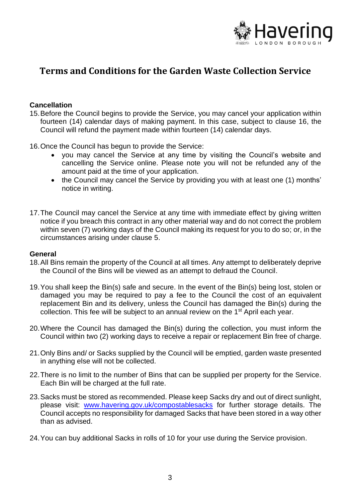

#### **Cancellation**

- 15.Before the Council begins to provide the Service, you may cancel your application within fourteen (14) calendar days of making payment. In this case, subject to clause 16, the Council will refund the payment made within fourteen (14) calendar days.
- 16.Once the Council has begun to provide the Service:
	- you may cancel the Service at any time by visiting the Council's website and cancelling the Service online. Please note you will not be refunded any of the amount paid at the time of your application.
	- the Council may cancel the Service by providing you with at least one (1) months' notice in writing.
- 17.The Council may cancel the Service at any time with immediate effect by giving written notice if you breach this contract in any other material way and do not correct the problem within seven (7) working days of the Council making its request for you to do so; or, in the circumstances arising under clause 5.

#### **General**

- 18.All Bins remain the property of the Council at all times. Any attempt to deliberately deprive the Council of the Bins will be viewed as an attempt to defraud the Council.
- 19.You shall keep the Bin(s) safe and secure. In the event of the Bin(s) being lost, stolen or damaged you may be required to pay a fee to the Council the cost of an equivalent replacement Bin and its delivery, unless the Council has damaged the Bin(s) during the collection. This fee will be subject to an annual review on the 1<sup>st</sup> April each year.
- 20.Where the Council has damaged the Bin(s) during the collection, you must inform the Council within two (2) working days to receive a repair or replacement Bin free of charge.
- 21.Only Bins and/ or Sacks supplied by the Council will be emptied, garden waste presented in anything else will not be collected.
- 22.There is no limit to the number of Bins that can be supplied per property for the Service. Each Bin will be charged at the full rate.
- 23.Sacks must be stored as recommended. Please keep Sacks dry and out of direct sunlight, please visit: [www.havering.gov.uk/compostablesacks](https://www.havering.gov.uk/compostablesacks) for further storage details. The Council accepts no responsibility for damaged Sacks that have been stored in a way other than as advised.
- 24.You can buy additional Sacks in rolls of 10 for your use during the Service provision.